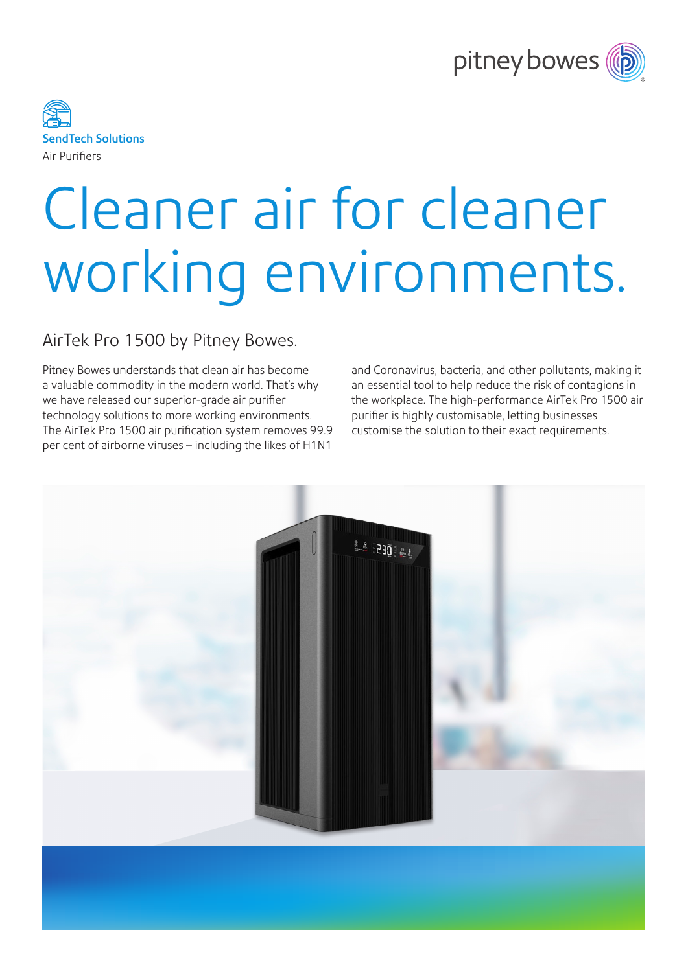



# Cleaner air for cleaner working environments.

## AirTek Pro 1500 by Pitney Bowes.

Pitney Bowes understands that clean air has become a valuable commodity in the modern world. That's why we have released our superior-grade air purifier technology solutions to more working environments. The AirTek Pro 1500 air purification system removes 99.9 per cent of airborne viruses – including the likes of H1N1

and Coronavirus, bacteria, and other pollutants, making it an essential tool to help reduce the risk of contagions in the workplace. The high-performance AirTek Pro 1500 air purifier is highly customisable, letting businesses customise the solution to their exact requirements.